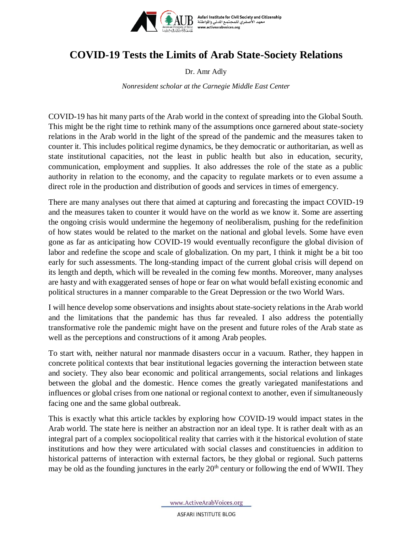

Asfari Institute for Civil Society and Citizenship<br>معهد الأصفري للمجتمع المدني والمواطنة<br>my www.activearabvoices.org

## **COVID-19 Tests the Limits of Arab State-Society Relations**

Dr. Amr Adly

*Nonresident scholar at the Carnegie Middle East Center*

COVID-19 has hit many parts of the Arab world in the context of spreading into the Global South. This might be the right time to rethink many of the assumptions once garnered about state-society relations in the Arab world in the light of the spread of the pandemic and the measures taken to counter it. This includes political regime dynamics, be they democratic or authoritarian, as well as state institutional capacities, not the least in public health but also in education, security, communication, employment and supplies. It also addresses the role of the state as a public authority in relation to the economy, and the capacity to regulate markets or to even assume a direct role in the production and distribution of goods and services in times of emergency.

There are many analyses out there that aimed at capturing and forecasting the impact COVID-19 and the measures taken to counter it would have on the world as we know it. Some are asserting the ongoing crisis would undermine the hegemony of neoliberalism, pushing for the redefinition of how states would be related to the market on the national and global levels. Some have even gone as far as anticipating how COVID-19 would eventually reconfigure the global division of labor and redefine the scope and scale of globalization. On my part, I think it might be a bit too early for such assessments. The long-standing impact of the current global crisis will depend on its length and depth, which will be revealed in the coming few months. Moreover, many analyses are hasty and with exaggerated senses of hope or fear on what would befall existing economic and political structures in a manner comparable to the Great Depression or the two World Wars.

I will hence develop some observations and insights about state-society relations in the Arab world and the limitations that the pandemic has thus far revealed. I also address the potentially transformative role the pandemic might have on the present and future roles of the Arab state as well as the perceptions and constructions of it among Arab peoples.

To start with, neither natural nor manmade disasters occur in a vacuum. Rather, they happen in concrete political contexts that bear institutional legacies governing the interaction between state and society. They also bear economic and political arrangements, social relations and linkages between the global and the domestic. Hence comes the greatly variegated manifestations and influences or global crises from one national or regional context to another, even if simultaneously facing one and the same global outbreak.

This is exactly what this article tackles by exploring how COVID-19 would impact states in the Arab world. The state here is neither an abstraction nor an ideal type. It is rather dealt with as an integral part of a complex sociopolitical reality that carries with it the historical evolution of state institutions and how they were articulated with social classes and constituencies in addition to historical patterns of interaction with external factors, be they global or regional. Such patterns may be old as the founding junctures in the early  $20<sup>th</sup>$  century or following the end of WWII. They

www.ActiveArabVoices.org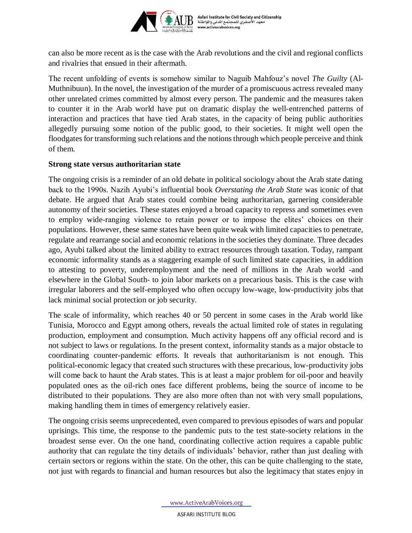

can also be more recent as is the case with the Arab revolutions and the civil and regional conflicts and rivalries that ensued in their aftermath.

The recent unfolding of events is somehow similar to Naguib Mahfouz's novel *The Guilty* (Al-Muthnibuun). In the novel, the investigation of the murder of a promiscuous actress revealed many other unrelated crimes committed by almost every person. The pandemic and the measures taken to counter it in the Arab world have put on dramatic display the well-entrenched patterns of interaction and practices that have tied Arab states, in the capacity of being public authorities allegedly pursuing some notion of the public good, to their societies. It might well open the floodgates for transforming such relations and the notions through which people perceive and think of them.

## **Strong state versus authoritarian state**

The ongoing crisis is a reminder of an old debate in political sociology about the Arab state dating back to the 1990s. Nazih Ayubi's influential book *Overstating the Arab State* was iconic of that debate. He argued that Arab states could combine being authoritarian, garnering considerable autonomy of their societies. These states enjoyed a broad capacity to repress and sometimes even to employ wide-ranging violence to retain power or to impose the elites' choices on their populations. However, these same states have been quite weak with limited capacities to penetrate, regulate and rearrange social and economic relations in the societies they dominate. Three decades ago, Ayubi talked about the limited ability to extract resources through taxation. Today, rampant economic informality stands as a staggering example of such limited state capacities, in addition to attesting to poverty, underemployment and the need of millions in the Arab world -and elsewhere in the Global South- to join labor markets on a precarious basis. This is the case with irregular laborers and the self-employed who often occupy low-wage, low-productivity jobs that lack minimal social protection or job security.

The scale of informality, which reaches 40 or 50 percent in some cases in the Arab world like Tunisia, Morocco and Egypt among others, reveals the actual limited role of states in regulating production, employment and consumption. Much activity happens off any official record and is not subject to laws or regulations. In the present context, informality stands as a major obstacle to coordinating counter-pandemic efforts. It reveals that authoritarianism is not enough. This political-economic legacy that created such structures with these precarious, low-productivity jobs will come back to haunt the Arab states. This is at least a major problem for oil-poor and heavily populated ones as the oil-rich ones face different problems, being the source of income to be distributed to their populations. They are also more often than not with very small populations, making handling them in times of emergency relatively easier.

The ongoing crisis seems unprecedented, even compared to previous episodes of wars and popular uprisings. This time, the response to the pandemic puts to the test state-society relations in the broadest sense ever. On the one hand, coordinating collective action requires a capable public authority that can regulate the tiny details of individuals' behavior, rather than just dealing with certain sectors or regions within the state. On the other, this can be quite challenging to the state, not just with regards to financial and human resources but also the legitimacy that states enjoy in

www.ActiveArabVoices.org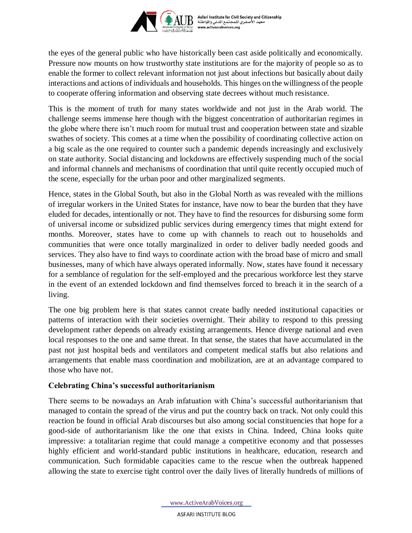

Asfari Institute for Civil Society and Citizenship<br>معهد الأصفري للمجتمع المدني والمواطنة<br>mww.activearabvoices.org

the eyes of the general public who have historically been cast aside politically and economically. Pressure now mounts on how trustworthy state institutions are for the majority of people so as to enable the former to collect relevant information not just about infections but basically about daily interactions and actions of individuals and households. This hinges on the willingness of the people to cooperate offering information and observing state decrees without much resistance.

This is the moment of truth for many states worldwide and not just in the Arab world. The challenge seems immense here though with the biggest concentration of authoritarian regimes in the globe where there isn't much room for mutual trust and cooperation between state and sizable swathes of society. This comes at a time when the possibility of coordinating collective action on a big scale as the one required to counter such a pandemic depends increasingly and exclusively on state authority. Social distancing and lockdowns are effectively suspending much of the social and informal channels and mechanisms of coordination that until quite recently occupied much of the scene, especially for the urban poor and other marginalized segments.

Hence, states in the Global South, but also in the Global North as was revealed with the millions of irregular workers in the United States for instance, have now to bear the burden that they have eluded for decades, intentionally or not. They have to find the resources for disbursing some form of universal income or subsidized public services during emergency times that might extend for months. Moreover, states have to come up with channels to reach out to households and communities that were once totally marginalized in order to deliver badly needed goods and services. They also have to find ways to coordinate action with the broad base of micro and small businesses, many of which have always operated informally. Now, states have found it necessary for a semblance of regulation for the self-employed and the precarious workforce lest they starve in the event of an extended lockdown and find themselves forced to breach it in the search of a living.

The one big problem here is that states cannot create badly needed institutional capacities or patterns of interaction with their societies overnight. Their ability to respond to this pressing development rather depends on already existing arrangements. Hence diverge national and even local responses to the one and same threat. In that sense, the states that have accumulated in the past not just hospital beds and ventilators and competent medical staffs but also relations and arrangements that enable mass coordination and mobilization, are at an advantage compared to those who have not.

## **Celebrating China's successful authoritarianism**

There seems to be nowadays an Arab infatuation with China's successful authoritarianism that managed to contain the spread of the virus and put the country back on track. Not only could this reaction be found in official Arab discourses but also among social constituencies that hope for a good-side of authoritarianism like the one that exists in China. Indeed, China looks quite impressive: a totalitarian regime that could manage a competitive economy and that possesses highly efficient and world-standard public institutions in healthcare, education, research and communication. Such formidable capacities came to the rescue when the outbreak happened allowing the state to exercise tight control over the daily lives of literally hundreds of millions of

www.ActiveArabVoices.org